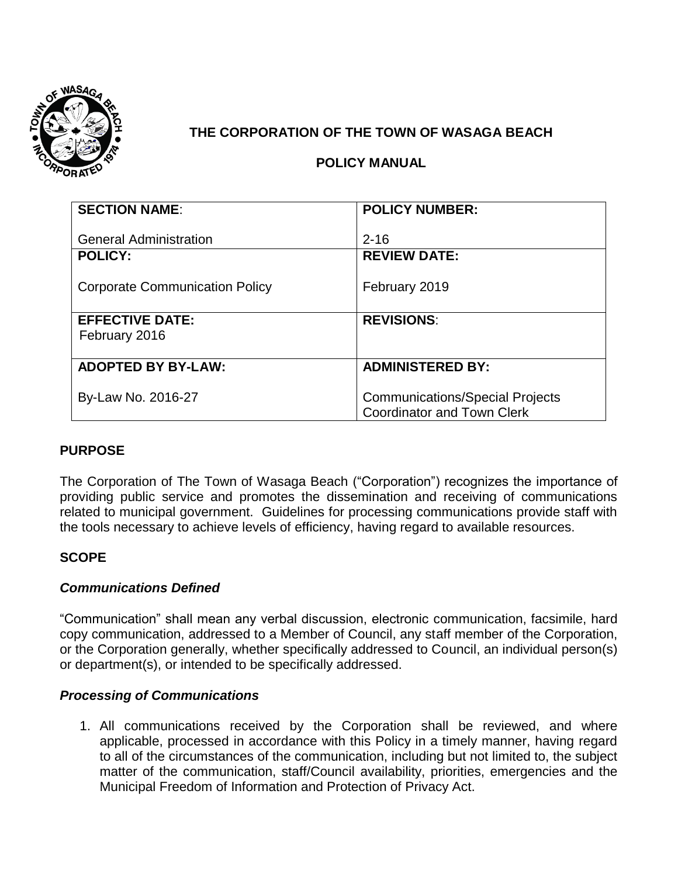

# **THE CORPORATION OF THE TOWN OF WASAGA BEACH**

# **POLICY MANUAL**

| <b>SECTION NAME:</b>                  | <b>POLICY NUMBER:</b>                  |
|---------------------------------------|----------------------------------------|
|                                       |                                        |
| <b>General Administration</b>         | $2 - 16$                               |
| <b>POLICY:</b>                        | <b>REVIEW DATE:</b>                    |
|                                       |                                        |
| <b>Corporate Communication Policy</b> | February 2019                          |
|                                       |                                        |
| <b>EFFECTIVE DATE:</b>                | <b>REVISIONS:</b>                      |
| February 2016                         |                                        |
|                                       |                                        |
| <b>ADOPTED BY BY-LAW:</b>             | <b>ADMINISTERED BY:</b>                |
|                                       |                                        |
| By-Law No. 2016-27                    | <b>Communications/Special Projects</b> |
|                                       | <b>Coordinator and Town Clerk</b>      |

## **PURPOSE**

The Corporation of The Town of Wasaga Beach ("Corporation") recognizes the importance of providing public service and promotes the dissemination and receiving of communications related to municipal government. Guidelines for processing communications provide staff with the tools necessary to achieve levels of efficiency, having regard to available resources.

## **SCOPE**

## *Communications Defined*

"Communication" shall mean any verbal discussion, electronic communication, facsimile, hard copy communication, addressed to a Member of Council, any staff member of the Corporation, or the Corporation generally, whether specifically addressed to Council, an individual person(s) or department(s), or intended to be specifically addressed.

## *Processing of Communications*

1. All communications received by the Corporation shall be reviewed, and where applicable, processed in accordance with this Policy in a timely manner, having regard to all of the circumstances of the communication, including but not limited to, the subject matter of the communication, staff/Council availability, priorities, emergencies and the Municipal Freedom of Information and Protection of Privacy Act.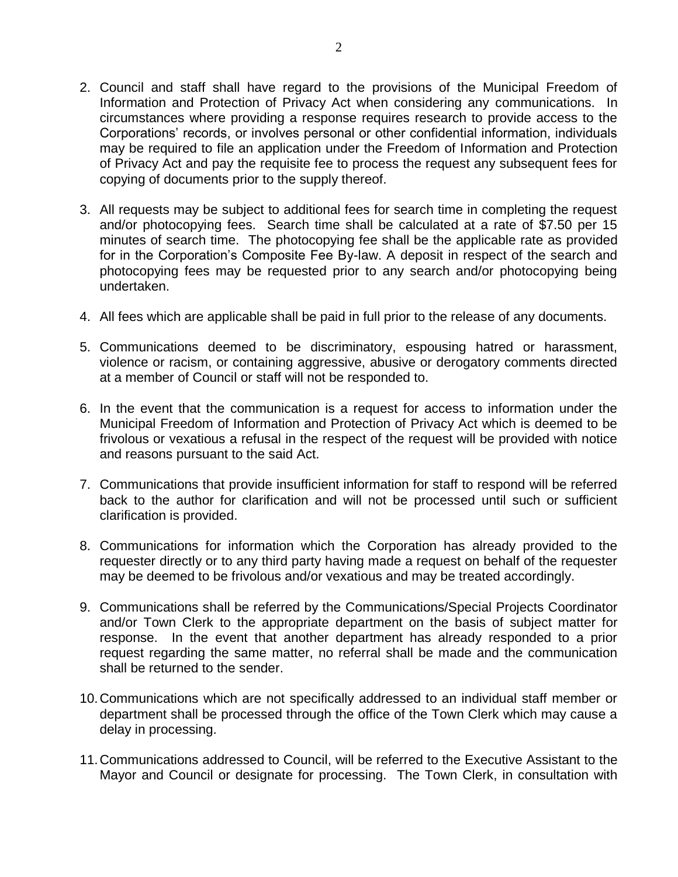- 2. Council and staff shall have regard to the provisions of the Municipal Freedom of Information and Protection of Privacy Act when considering any communications. In circumstances where providing a response requires research to provide access to the Corporations' records, or involves personal or other confidential information, individuals may be required to file an application under the Freedom of Information and Protection of Privacy Act and pay the requisite fee to process the request any subsequent fees for copying of documents prior to the supply thereof.
- 3. All requests may be subject to additional fees for search time in completing the request and/or photocopying fees. Search time shall be calculated at a rate of \$7.50 per 15 minutes of search time. The photocopying fee shall be the applicable rate as provided for in the Corporation's Composite Fee By-law. A deposit in respect of the search and photocopying fees may be requested prior to any search and/or photocopying being undertaken.
- 4. All fees which are applicable shall be paid in full prior to the release of any documents.
- 5. Communications deemed to be discriminatory, espousing hatred or harassment, violence or racism, or containing aggressive, abusive or derogatory comments directed at a member of Council or staff will not be responded to.
- 6. In the event that the communication is a request for access to information under the Municipal Freedom of Information and Protection of Privacy Act which is deemed to be frivolous or vexatious a refusal in the respect of the request will be provided with notice and reasons pursuant to the said Act.
- 7. Communications that provide insufficient information for staff to respond will be referred back to the author for clarification and will not be processed until such or sufficient clarification is provided.
- 8. Communications for information which the Corporation has already provided to the requester directly or to any third party having made a request on behalf of the requester may be deemed to be frivolous and/or vexatious and may be treated accordingly.
- 9. Communications shall be referred by the Communications/Special Projects Coordinator and/or Town Clerk to the appropriate department on the basis of subject matter for response. In the event that another department has already responded to a prior request regarding the same matter, no referral shall be made and the communication shall be returned to the sender.
- 10.Communications which are not specifically addressed to an individual staff member or department shall be processed through the office of the Town Clerk which may cause a delay in processing.
- 11.Communications addressed to Council, will be referred to the Executive Assistant to the Mayor and Council or designate for processing. The Town Clerk, in consultation with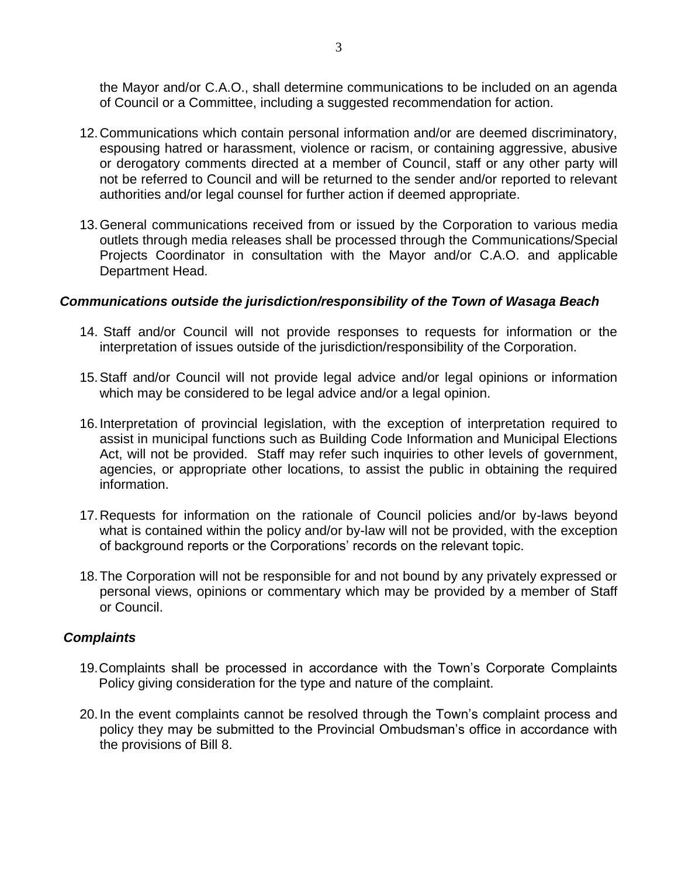the Mayor and/or C.A.O., shall determine communications to be included on an agenda of Council or a Committee, including a suggested recommendation for action.

- 12.Communications which contain personal information and/or are deemed discriminatory, espousing hatred or harassment, violence or racism, or containing aggressive, abusive or derogatory comments directed at a member of Council, staff or any other party will not be referred to Council and will be returned to the sender and/or reported to relevant authorities and/or legal counsel for further action if deemed appropriate.
- 13.General communications received from or issued by the Corporation to various media outlets through media releases shall be processed through the Communications/Special Projects Coordinator in consultation with the Mayor and/or C.A.O. and applicable Department Head.

### *Communications outside the jurisdiction/responsibility of the Town of Wasaga Beach*

- 14. Staff and/or Council will not provide responses to requests for information or the interpretation of issues outside of the jurisdiction/responsibility of the Corporation.
- 15.Staff and/or Council will not provide legal advice and/or legal opinions or information which may be considered to be legal advice and/or a legal opinion.
- 16.Interpretation of provincial legislation, with the exception of interpretation required to assist in municipal functions such as Building Code Information and Municipal Elections Act, will not be provided. Staff may refer such inquiries to other levels of government, agencies, or appropriate other locations, to assist the public in obtaining the required information.
- 17.Requests for information on the rationale of Council policies and/or by-laws beyond what is contained within the policy and/or by-law will not be provided, with the exception of background reports or the Corporations' records on the relevant topic.
- 18.The Corporation will not be responsible for and not bound by any privately expressed or personal views, opinions or commentary which may be provided by a member of Staff or Council.

#### *Complaints*

- 19.Complaints shall be processed in accordance with the Town's Corporate Complaints Policy giving consideration for the type and nature of the complaint.
- 20.In the event complaints cannot be resolved through the Town's complaint process and policy they may be submitted to the Provincial Ombudsman's office in accordance with the provisions of Bill 8.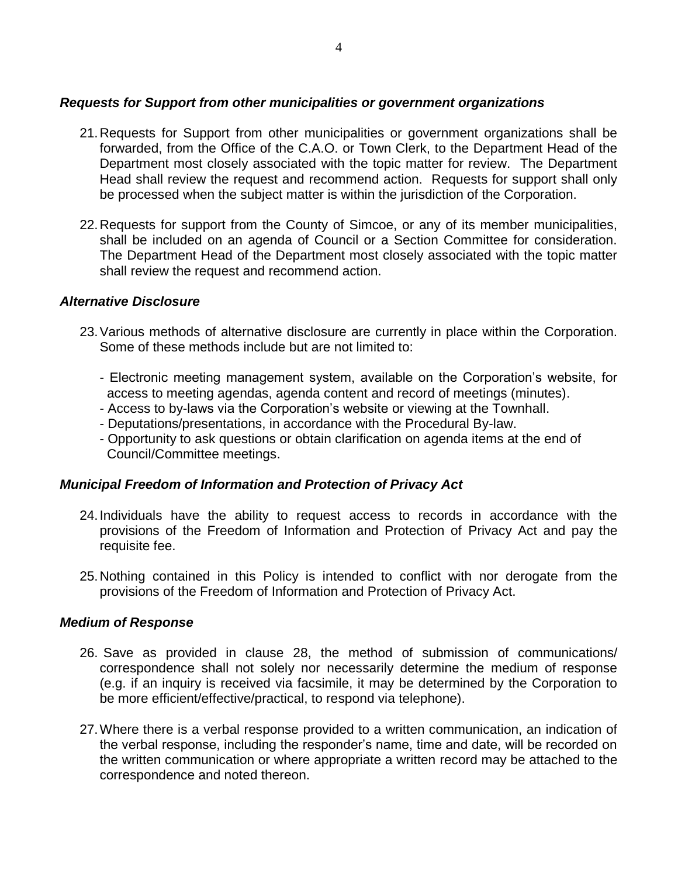## *Requests for Support from other municipalities or government organizations*

- 21.Requests for Support from other municipalities or government organizations shall be forwarded, from the Office of the C.A.O. or Town Clerk, to the Department Head of the Department most closely associated with the topic matter for review. The Department Head shall review the request and recommend action. Requests for support shall only be processed when the subject matter is within the jurisdiction of the Corporation.
- 22.Requests for support from the County of Simcoe, or any of its member municipalities, shall be included on an agenda of Council or a Section Committee for consideration. The Department Head of the Department most closely associated with the topic matter shall review the request and recommend action.

#### *Alternative Disclosure*

- 23.Various methods of alternative disclosure are currently in place within the Corporation. Some of these methods include but are not limited to:
	- Electronic meeting management system, available on the Corporation's website, for access to meeting agendas, agenda content and record of meetings (minutes).
	- Access to by-laws via the Corporation's website or viewing at the Townhall.
	- Deputations/presentations, in accordance with the Procedural By-law.
	- Opportunity to ask questions or obtain clarification on agenda items at the end of Council/Committee meetings.

## *Municipal Freedom of Information and Protection of Privacy Act*

- 24.Individuals have the ability to request access to records in accordance with the provisions of the Freedom of Information and Protection of Privacy Act and pay the requisite fee.
- 25.Nothing contained in this Policy is intended to conflict with nor derogate from the provisions of the Freedom of Information and Protection of Privacy Act.

#### *Medium of Response*

- 26. Save as provided in clause 28, the method of submission of communications/ correspondence shall not solely nor necessarily determine the medium of response (e.g. if an inquiry is received via facsimile, it may be determined by the Corporation to be more efficient/effective/practical, to respond via telephone).
- 27.Where there is a verbal response provided to a written communication, an indication of the verbal response, including the responder's name, time and date, will be recorded on the written communication or where appropriate a written record may be attached to the correspondence and noted thereon.